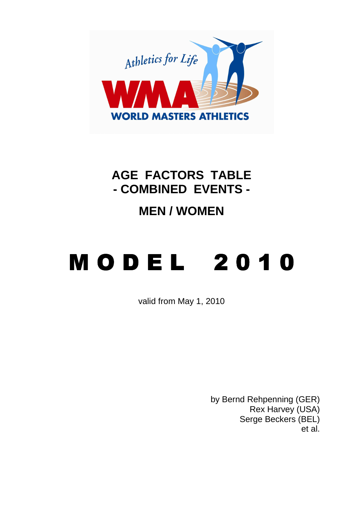

## **AGE FACTORS TABLE - COMBINED EVENTS -**

## **MEN / WOMEN**

## **MODEL 2010**

valid from May 1, 2010

by Bernd Rehpenning (GER) Rex Harvey (USA) Serge Beckers (BEL) et al.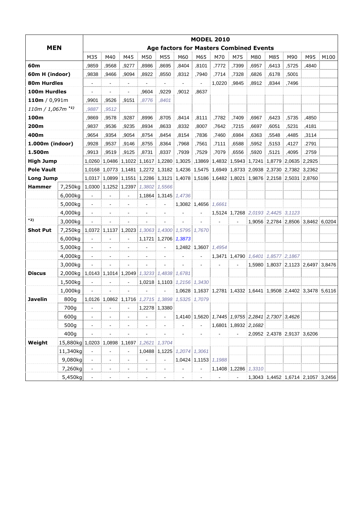| <b>MEN</b>          |                                             | <b>MODEL 2010</b>                              |                          |                          |                                                  |                          |                             |                      |                                                                                            |       |                                    |                             |                      |                                                                |      |  |
|---------------------|---------------------------------------------|------------------------------------------------|--------------------------|--------------------------|--------------------------------------------------|--------------------------|-----------------------------|----------------------|--------------------------------------------------------------------------------------------|-------|------------------------------------|-----------------------------|----------------------|----------------------------------------------------------------|------|--|
|                     |                                             | <b>Age factors for Masters Combined Events</b> |                          |                          |                                                  |                          |                             |                      |                                                                                            |       |                                    |                             |                      |                                                                |      |  |
|                     |                                             | M35                                            | M40                      | M45                      | M50                                              | M55                      | M60                         | M65                  | M70                                                                                        | M75   | M80                                | M85                         | M90                  | M95                                                            | M100 |  |
| 60m                 |                                             | ,9859                                          | ,9568                    | ,9277                    | ,8986                                            | .8695                    | ,8404                       | ,8101                | ,7772                                                                                      | ,7399 | ,6957                              | ,6413                       | .5725                | ,4840                                                          |      |  |
| 60m H (indoor)      |                                             | .9838                                          | .9466                    | .9094                    | .8922                                            | .8550                    | .8312                       | ,7940                | ,7714                                                                                      | ,7328 | ,6826                              | ,6178                       | .5001                |                                                                |      |  |
| 80m Hurdles         |                                             | $\blacksquare$                                 | $\overline{\phantom{0}}$ | $\blacksquare$           |                                                  | $\overline{\phantom{a}}$ |                             |                      | 1,0220                                                                                     | ,9845 | .8912                              | .8344                       | ,7496                |                                                                |      |  |
| 100m Hurdles        |                                             |                                                | $\blacksquare$           |                          | .9604                                            | ,9229                    | .9012                       | .8637                |                                                                                            |       |                                    |                             |                      |                                                                |      |  |
| 110m / $0,991m$     |                                             | ,9901                                          | ,9526                    | ,9151                    | ,8776                                            | .8401                    |                             |                      |                                                                                            |       |                                    |                             |                      |                                                                |      |  |
| $110m / 1,067m$ *1) |                                             | 9887                                           | .9512                    |                          |                                                  |                          |                             |                      |                                                                                            |       |                                    |                             |                      |                                                                |      |  |
| 100m                |                                             | ,9869                                          | ,9578                    | ,9287                    | ,8996                                            | ,8705                    | ,8414                       | ,8111                | ,7782                                                                                      | ,7409 | ,6967                              | ,6423                       | ,5735                | ,4850                                                          |      |  |
| 200m                |                                             | ,9837                                          | ,9536                    | ,9235                    | ,8934                                            | ,8633                    | ,8332                       | ,8007                | ,7642                                                                                      | ,7215 | ,6697                              | ,6051                       | ,5231                | ,4181                                                          |      |  |
| 400m                |                                             | .9654                                          | ,9354                    | ,9054                    | ,8754                                            | .8454                    | .8154                       | ,7836                | ,7460                                                                                      | .6984 | ,6363                              | .5548                       | .4485                | ,3114                                                          |      |  |
| 1.000m (indoor)     |                                             | ,9928                                          | ,9537                    | ,9146                    | ,8755                                            | ,8364                    | ,7968                       | ,7561                | ,7111                                                                                      | ,6588 | ,5952                              | ,5153                       | ,4127                | .2791                                                          |      |  |
| 1.500m              |                                             | ,9913                                          | ,9519                    | ,9125                    | ,8731                                            | ,8337                    | ,7939                       | ,7529                | ,7079                                                                                      | ,6556 | ,5920                              | ,5121                       | ,4095                | .2759                                                          |      |  |
| <b>High Jump</b>    |                                             | 1,0260                                         | 1.0486                   | 1,1022 1,1617            |                                                  | 1,2280                   | 1,3025                      | ,13869               |                                                                                            |       | 1,4832 1,5943 1,7241               |                             | 1,8779 2,0635 2,2925 |                                                                |      |  |
| <b>Pole Vault</b>   |                                             |                                                | 1.0168 1.0773            |                          |                                                  |                          |                             |                      | 1,1481 1,2272 1,3182 1,4236 1,5475 1,6949 1,8733 2,0938 2,3730 2,7382 3,2362               |       |                                    |                             |                      |                                                                |      |  |
| <b>Long Jump</b>    |                                             |                                                |                          |                          |                                                  |                          |                             |                      | 1,0317 1,0899 1,1551 1,2286 1,3121 1,4078 1,5186 1,6482 1,8021 1,9876 2,2158 2,5031 2,8760 |       |                                    |                             |                      |                                                                |      |  |
| <b>Hammer</b>       | 7,250kg                                     |                                                |                          | 1,0300 1,1252 1,2397     | 1,3802                                           | 1,5566                   |                             |                      |                                                                                            |       |                                    |                             |                      |                                                                |      |  |
|                     | 6,000kg                                     |                                                |                          |                          | 1,1864                                           | 1,3145                   | 1,4736                      |                      |                                                                                            |       |                                    |                             |                      |                                                                |      |  |
|                     | 5,000kg                                     | $\blacksquare$                                 | $\blacksquare$           | $\blacksquare$           |                                                  | $\blacksquare$           |                             | 1,3082 1,4656 1,6661 |                                                                                            |       |                                    |                             |                      |                                                                |      |  |
|                     | 4,000kg                                     |                                                |                          |                          |                                                  |                          |                             |                      |                                                                                            |       | 1,5124 1,7268 2,0193 2,4425 3,1123 |                             |                      |                                                                |      |  |
| *2)                 | 3,000kg                                     |                                                |                          |                          |                                                  | $\overline{\phantom{a}}$ |                             |                      |                                                                                            |       |                                    |                             |                      | 1,9056 2,2784 2,8506 3,8462 6,0204                             |      |  |
| <b>Shot Put</b>     | 7,250kg                                     | 1,0372                                         | 1,1137                   | 1,2023                   |                                                  |                          | 1,3063 1,4300 1,5795 1,7670 |                      |                                                                                            |       |                                    |                             |                      |                                                                |      |  |
|                     | 6,000kg                                     |                                                |                          |                          | 1,1721                                           | 1,2706                   | 1,3873                      |                      |                                                                                            |       |                                    |                             |                      |                                                                |      |  |
|                     | 5,000kg                                     | $\blacksquare$                                 | $\blacksquare$           | $\blacksquare$           | $\blacksquare$                                   | $\blacksquare$           |                             | 1,2482 1,3607        | 1,4954                                                                                     |       |                                    |                             |                      |                                                                |      |  |
|                     | 4,000kg                                     | $\blacksquare$                                 | $\blacksquare$           | $\overline{\phantom{a}}$ |                                                  | $\blacksquare$           |                             |                      |                                                                                            |       | 1,3471 1,4790 1,6401 1,8577 2,1867 |                             |                      |                                                                |      |  |
|                     | 3,000kg                                     |                                                |                          |                          |                                                  |                          |                             |                      |                                                                                            |       |                                    |                             |                      | 1,5980 1,8037 2,1123 2,6497 3,8476                             |      |  |
| <b>Discus</b>       | 2,000kg                                     |                                                |                          | 1,0143 1,1014 1,2049     |                                                  | 1,3233 1,4838 1,6781     |                             |                      |                                                                                            |       |                                    |                             |                      |                                                                |      |  |
|                     | 1,500kg                                     |                                                |                          |                          |                                                  | 1,0218 1,1103            | 1,2156                      | 1,3430               |                                                                                            |       |                                    |                             |                      |                                                                |      |  |
|                     | 1,000kg                                     |                                                |                          |                          |                                                  |                          |                             |                      |                                                                                            |       |                                    |                             |                      | 1,0628 1,1637 1,2781 1,4332 1,6441 1,9508 2,4402 3,3478 5,6116 |      |  |
| Javelin             | 800g                                        |                                                |                          |                          | 1,0126 1,0862 1,1716 1,2715 1,3898 1,5325 1,7079 |                          |                             |                      |                                                                                            |       |                                    |                             |                      |                                                                |      |  |
|                     | 700g                                        |                                                |                          |                          |                                                  | 1,2278 1,3380            |                             |                      |                                                                                            |       |                                    |                             |                      |                                                                |      |  |
|                     | 600g                                        | $\blacksquare$                                 | $\blacksquare$           |                          |                                                  |                          |                             |                      | 1,4140 1,5620 1,7445 1,9755 2,2841 2,7307 3,4626                                           |       |                                    |                             |                      |                                                                |      |  |
|                     | 500g                                        | $\blacksquare$                                 | ä,                       |                          |                                                  |                          |                             |                      |                                                                                            |       | 1,6801 1,8932 2,1682               |                             |                      |                                                                |      |  |
|                     | 400g                                        |                                                |                          |                          |                                                  |                          |                             |                      |                                                                                            |       |                                    | 2,0952 2,4378 2,9137 3,6206 |                      |                                                                |      |  |
| Weight              | 15,880kg 1,0203 1,0898 1,1697 1,2621 1,3704 |                                                |                          |                          |                                                  |                          |                             |                      |                                                                                            |       |                                    |                             |                      |                                                                |      |  |
|                     | 11,340kg                                    |                                                |                          |                          |                                                  |                          | 1,0488 1,1225 1,2074 1,3061 |                      |                                                                                            |       |                                    |                             |                      |                                                                |      |  |
|                     | 9,080kg                                     |                                                | ä,                       |                          |                                                  |                          |                             |                      | 1,0424 1,1153 1,1988                                                                       |       |                                    |                             |                      |                                                                |      |  |
|                     | 7,260kg                                     | $\blacksquare$                                 | $\blacksquare$           | $\overline{\phantom{a}}$ |                                                  | $\blacksquare$           | $\blacksquare$              | $\blacksquare$       |                                                                                            |       | 1,1408 1,2286 1,3310               |                             |                      |                                                                |      |  |
|                     | 5,450kg                                     | $\blacksquare$                                 |                          |                          |                                                  |                          |                             |                      | $\blacksquare$                                                                             |       |                                    |                             |                      | 1,3043 1,4452 1,6714 2,1057 3,2456                             |      |  |